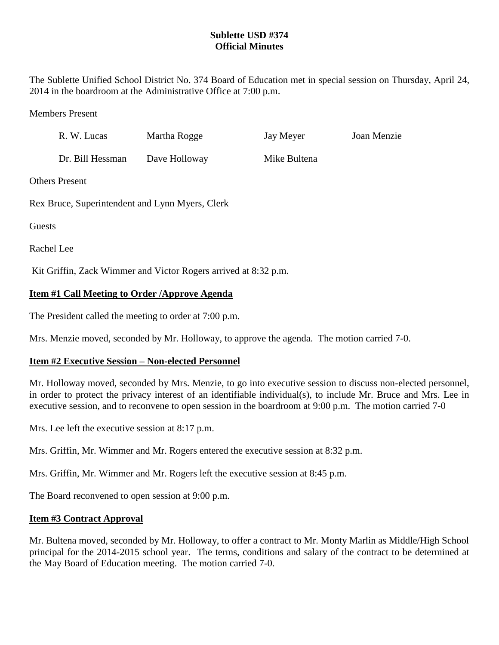## **Sublette USD #374 Official Minutes**

The Sublette Unified School District No. 374 Board of Education met in special session on Thursday, April 24, 2014 in the boardroom at the Administrative Office at 7:00 p.m.

Members Present

|                                                                 | R. W. Lucas      | Martha Rogge  | Jay Meyer    | Joan Menzie |
|-----------------------------------------------------------------|------------------|---------------|--------------|-------------|
|                                                                 | Dr. Bill Hessman | Dave Holloway | Mike Bultena |             |
| <b>Others Present</b>                                           |                  |               |              |             |
| Rex Bruce, Superintendent and Lynn Myers, Clerk                 |                  |               |              |             |
| Guests                                                          |                  |               |              |             |
| Rachel Lee                                                      |                  |               |              |             |
| Kit Griffin, Zack Wimmer and Victor Rogers arrived at 8:32 p.m. |                  |               |              |             |

# **Item #1 Call Meeting to Order /Approve Agenda**

The President called the meeting to order at 7:00 p.m.

Mrs. Menzie moved, seconded by Mr. Holloway, to approve the agenda. The motion carried 7-0.

### **Item #2 Executive Session – Non-elected Personnel**

Mr. Holloway moved, seconded by Mrs. Menzie, to go into executive session to discuss non-elected personnel, in order to protect the privacy interest of an identifiable individual(s), to include Mr. Bruce and Mrs. Lee in executive session, and to reconvene to open session in the boardroom at 9:00 p.m. The motion carried 7-0

Mrs. Lee left the executive session at 8:17 p.m.

Mrs. Griffin, Mr. Wimmer and Mr. Rogers entered the executive session at 8:32 p.m.

Mrs. Griffin, Mr. Wimmer and Mr. Rogers left the executive session at 8:45 p.m.

The Board reconvened to open session at 9:00 p.m.

#### **Item #3 Contract Approval**

Mr. Bultena moved, seconded by Mr. Holloway, to offer a contract to Mr. Monty Marlin as Middle/High School principal for the 2014-2015 school year. The terms, conditions and salary of the contract to be determined at the May Board of Education meeting. The motion carried 7-0.